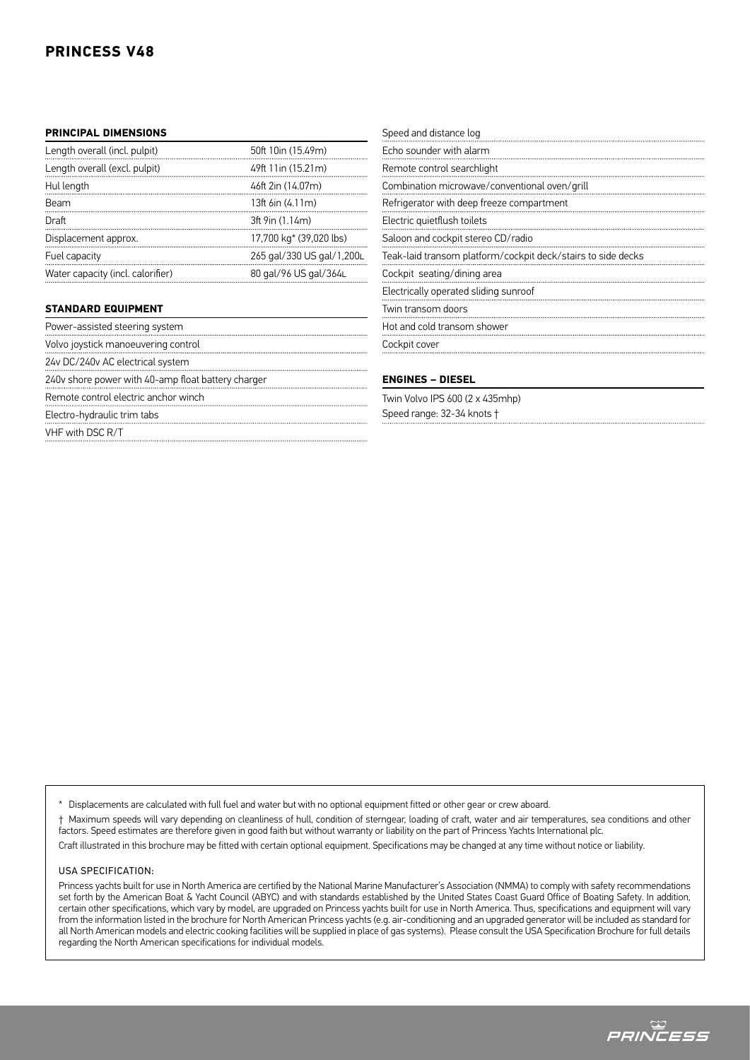## **PRINCESS V48**

## **PRINCIPAL DIMENSIONS**

| Length overall (incl. pulpit)     | 50ft 10in (15.49m)        |
|-----------------------------------|---------------------------|
| Length overall (excl. pulpit)     | 49ft 11in (15.21m)        |
| Hul length                        | 46ft 2in (14.07m)         |
| Beam                              | $13ft$ 6in $(4.11m)$      |
| Draft                             | 3ft 9in (1.14m)           |
| Displacement approx.              | 17,700 kg* (39,020 lbs)   |
| Fuel capacity                     | 265 gal/330 US gal/1,200L |
| Water capacity (incl. calorifier) | 80 gal/96 US gal/364L     |

## **STANDARD EQUIPMENT**

Power-assisted steering system

Volvo joystick manoeuvering control

24v DC/240v AC electrical system

240v shore power with 40-amp float battery charger

Remote control electric anchor winch

Electro-hydraulic trim tabs

VHF with DSC R/T

| Speed and distance log                                       |
|--------------------------------------------------------------|
| Echo sounder with alarm                                      |
| Remote control searchlight                                   |
| Combination microwave/conventional oven/grill                |
| Refrigerator with deep freeze compartment                    |
| Electric quietflush toilets                                  |
| Saloon and cockpit stereo CD/radio                           |
| Teak-laid transom platform/cockpit deck/stairs to side decks |
| Cockpit seating/dining area                                  |
| Electrically operated sliding sunroof                        |
| Twin transom doors                                           |
| Hot and cold transom shower                                  |
| Cockpit cover                                                |
|                                                              |

## **ENGINES – DIESEL**

Twin Volvo IPS 600 (2 x 435mhp) Speed range: 32-34 knots †

Displacements are calculated with full fuel and water but with no optional equipment fitted or other gear or crew aboard.

† Maximum speeds will vary depending on cleanliness of hull, condition of sterngear, loading of craft, water and air temperatures, sea conditions and other factors. Speed estimates are therefore given in good faith but without warranty or liability on the part of Princess Yachts International plc.

Craft illustrated in this brochure may be fitted with certain optional equipment. Specifications may be changed at any time without notice or liability.

#### USA Specification:

Princess yachts built for use in North America are certified by the National Marine Manufacturer's Association (NMMA) to comply with safety recommendations set forth by the American Boat & Yacht Council (ABYC) and with standards established by the United States Coast Guard Office of Boating Safety. In addition, certain other specifications, which vary by model, are upgraded on Princess yachts built for use in North America. Thus, specifications and equipment will vary from the information listed in the brochure for North American Princess yachts (e.g. air-conditioning and an upgraded generator will be included as standard for all North American models and electric cooking facilities will be supplied in place of gas systems). Please consult the USA Specification Brochure for full details regarding the North American specifications for individual models.

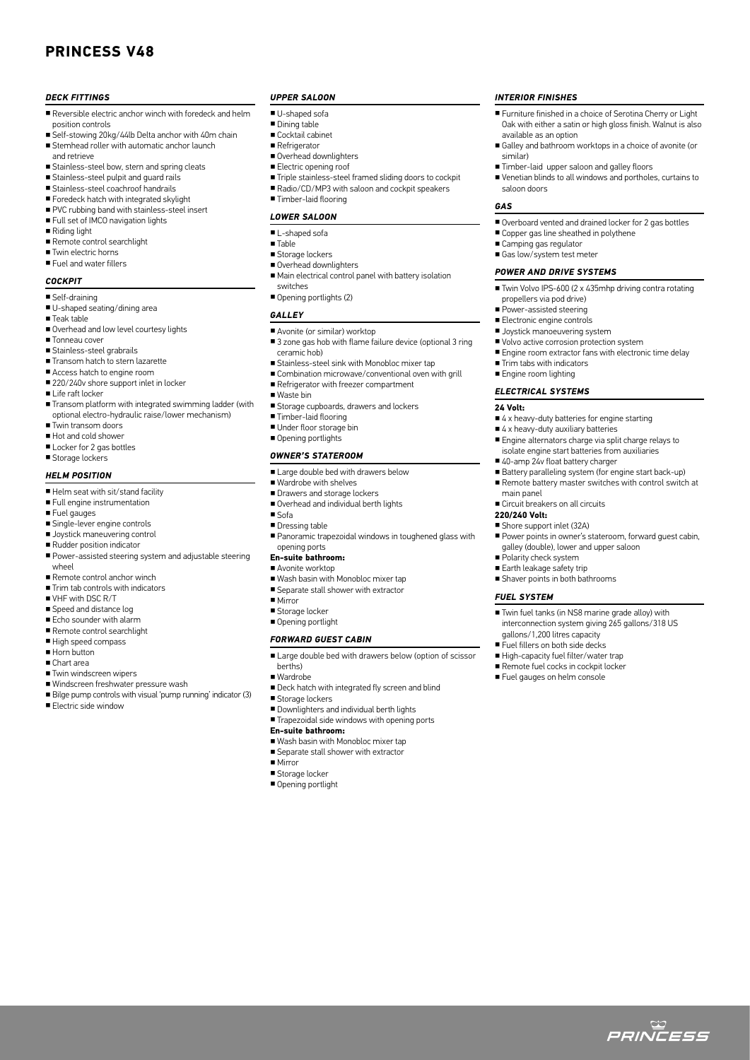## **PRINCESS V48**

#### *DECK FITTINGS*

- Reversible electric anchor winch with foredeck and helm position controls
- Self-stowing 20kg/44lb Delta anchor with 40m chain
- Stemhead roller with automatic anchor launch and retrieve
- Stainless-steel bow, stern and spring cleats
- Stainless-steel pulpit and guard rails
- Stainless-steel coachroof handrails
- Foredeck hatch with integrated skylight
- PVC rubbing band with stainless-steel insert
- Full set of IMCO navigation lights
- Riding light
- Remote control searchlight
- Twin electric horns ■ Fuel and water fillers

## *COCKPIT*

- Self-draining
- U-shaped seating/dining area
- Teak table
- Overhead and low level courtesy lights
- Tonneau cover
- Stainless-steel grabrails
- Transom hatch to stern lazarette
- Access hatch to engine room ■ 220/240v shore support inlet in locker
- Life raft locker
- Transom platform with integrated swimming ladder (with optional electro-hydraulic raise/lower mechanism)
- Twin transom doors
- Hot and cold shower
- Locker for 2 gas bottles
- Storage lockers

#### *HELM POSITION*

- Helm seat with sit/stand facility
- Full engine instrumentation
- Fuel gauges
- Single-lever engine controls
- Joystick maneuvering control
- Rudder position indicator
- Power-assisted steering system and adjustable steering wheel
- Remote control anchor winch
- Trim tab controls with indicators
- VHF with DSC R/T
- Speed and distance log
- Echo sounder with alarm
- Remote control searchlight
- High speed compass
- Horn button
- Chart area
- Twin windscreen wipers
- Windscreen freshwater pressure wash
- Bilge pump controls with visual 'pump running' indicator (3)

■ Electric side window

#### *UPPER SALOON*

- U-shaped sofa
- Dining table
- Cocktail cabinet
- Refrigerator
- Overhead downlighters
- Electric opening roof
- Triple stainless-steel framed sliding doors to cockpit

*INTERIOR FINISHES*

available as an option

■ Camping gas regulator ■ Gas low/system test meter *POWER AND DRIVE SYSTEMS*

propellers via pod drive) ■ Power-assisted steering ■ Electronic engine controls ■ Joystick manoeuvering system ■ Volvo active corrosion protection system

■ Trim tabs with indicators ■ Engine room lighting *ELECTRICAL SYSTEMS*

**24 Volt:**

main panel

**220/240 Volt:** ■ Shore support inlet (32A)

*FUEL SYSTEM*

similar)

*GAS*

saloon doors

■ Furniture finished in a choice of Serotina Cherry or Light Oak with either a satin or high gloss finish. Walnut is also

■ Galley and bathroom worktops in a choice of avonite (or

■ Venetian blinds to all windows and portholes, curtains to

■ Overboard vented and drained locker for 2 gas bottles

■ Twin Volvo IPS-600 (2 x 435mhp driving contra rotating

■ Engine room extractor fans with electronic time delay

■ 4 x heavy-duty batteries for engine starting ■ 4 x heavy-duty auxiliary batteries

■ 40-amp 24v float battery charger

■ Circuit breakers on all circuits

gallons/1,200 litres capacity ■ Fuel fillers on both side decks ■ High-capacity fuel filter/water trap ■ Remote fuel cocks in cockpit locker ■ Fuel gauges on helm console

■ Polarity check system ■ Earth leakage safety trip ■ Shaver points in both bathrooms

■ Engine alternators charge via split charge relays to isolate engine start batteries from auxiliaries

■ Battery paralleling system (for engine start back-up) ■ Remote battery master switches with control switch at

■ Power points in owner's stateroom, forward quest cabin

galley (double), lower and upper saloon

■ Twin fuel tanks (in NS8 marine grade alloy) with interconnection system giving 265 gallons/318 US

ت<br>*PRINCESS* 

■ Timber-laid upper saloon and galley floors

■ Copper gas line sheathed in polythene

■ Radio/CD/MP3 with saloon and cockpit speakers ■ Timber-laid flooring

#### *LOWER SALOON*

- L-shaped sofa
- Table
- 
- Storage lockers ■ Overhead downlighters
- 
- Main electrical control panel with battery isolation switches
- Opening portlights (2)

#### *GALLEY*

- Avonite (or similar) worktop
- 3 zone gas hob with flame failure device (optional 3 ring ceramic hob)
- Stainless-steel sink with Monobloc mixer tap
- Combination microwave/conventional oven with grill
- Refrigerator with freezer compartment
- Waste bin
- Storage cupboards, drawers and lockers
- Timber-laid flooring
- Under floor storage bin
- Opening portlights

#### *OWNER'S STATEROOM*

- Large double bed with drawers below
- Wardrobe with shelves
- Drawers and storage lockers
- Overhead and individual berth lights
- Sofa
- Dressing table
- Panoramic trapezoidal windows in toughened glass with opening ports

## **En-suite bathroom:**

- Avonite worktop
- Wash basin with Monobloc mixer tap
- Separate stall shower with extractor ■ Mirror
- 
- Storage locker ■ Opening portlight

#### *FORWARD GUEST CABIN*

- Large double bed with drawers below (option of scissor
- berths)
- Wardrobe

■ Mirror ■ Storage locker ■ Opening portlight

- Deck hatch with integrated fly screen and blind
- Storage lockers

**En-suite bathroom:**

- Downlighters and individual berth lights
- Trapezoidal side windows with opening ports

■ Wash basin with Monobloc mixer tap ■ Separate stall shower with extractor